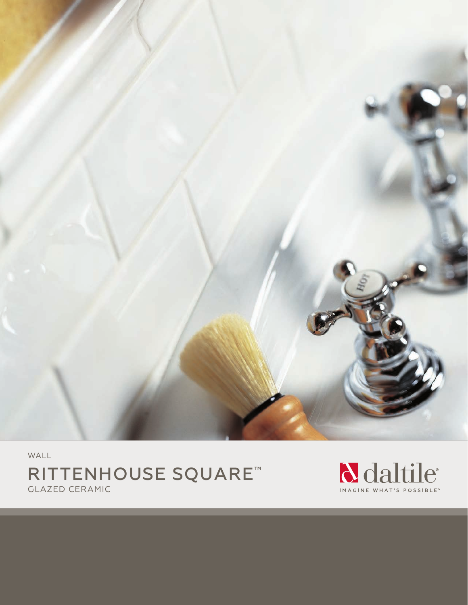

WALL RITTENHOUSE SQUARE™ GLAZED CERAMIC

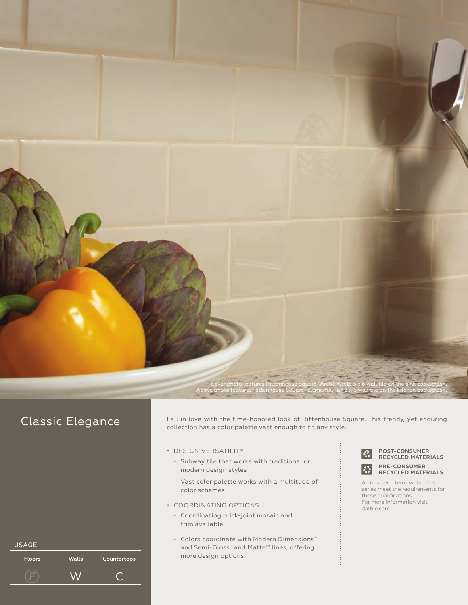

# Classic Elegance

Fall in love with the time-honored look of Rittenhouse Square. This trendy, yet enduring collection has a color palette vast enough to fit any style.

- DESIGN VERSATILITY
	- Subway tile that works with traditional or modern design styles
	- Vast color palette works with a multitude of color schemes
- COORDINATING OPTIONS
	- Coordinating brick-joint mosaic and trim available
	- Colors coordinate with Modern Dimensions™ and Semi-Gloss™ and Matte™ lines, offering more design options



**POST-CONSUMER RECYCLED MATERIALS PRE-CONSUMER**

All or select items within this series meet the requirements for these qualifications. For more information visit daltile.com.

| <b>USAGE</b>  |              |             |
|---------------|--------------|-------------|
| <b>Floors</b> | <b>Walls</b> | Countertops |
|               |              |             |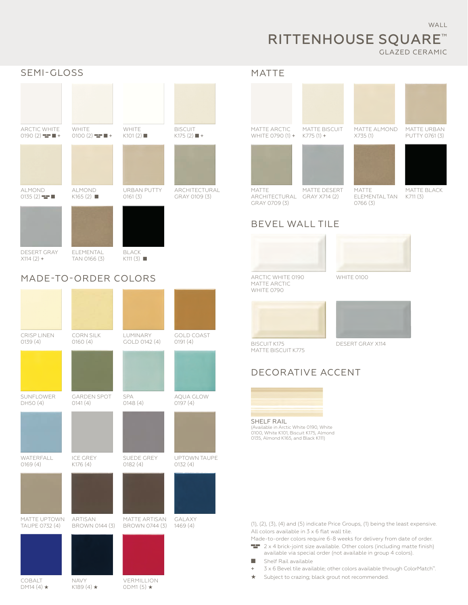## WALL

## RITTENHOUSE SQUARE™ GLAZED CERAMIC



# MADE-TO-ORDER COLORS

| <b>CRISP LINEN</b><br>0139(4)  | <b>CORN SILK</b><br>O16O(4)       | LUMINARY<br>GOLD 0142 (4)               | <b>GOLD COAST</b><br>O191(4) |
|--------------------------------|-----------------------------------|-----------------------------------------|------------------------------|
|                                |                                   |                                         |                              |
| SUNFLOWER<br>DH50 (4)          | <b>GARDEN SPOT</b><br>O141(4)     | <b>SPA</b><br>O148(4)                   | AQUA GLOW<br>O197(4)         |
|                                |                                   |                                         |                              |
| WATERFALL<br>0169(4)           | <b>ICE GREY</b><br>K176 (4)       | SUEDE GREY<br>0182(4)                   | UPTOWN TAUPE<br>0132(4)      |
|                                |                                   |                                         |                              |
| MATTE UPTOWN<br>TAUPE 0732 (4) | ARTISAN<br>BROWN 0144 (3)         | MATTE ARTISAN<br>BROWN 0744 (3)         | <b>GALAXY</b><br>1469(4)     |
|                                |                                   |                                         |                              |
| COBALT<br>DM14 $(4)$ $\star$   | <b>NAVY</b><br>K189 $(4)$ $\star$ | <b>VERMILLION</b><br>ODM1 $(5)$ $\star$ |                              |

## MATTE





MATTE ARCHITECTURAL GRAY X714 (2) GRAY 0709 (3) MATTE DESERT



MATTE URBAN PUTTY 0761 (3)



MATTE

MATTE BLACK K711 (3)

## ELEMENTAL TAN 0766 (3)







MATTE ARCTIC WHITE 0790

MATTE BISCUIT K775



BISCUIT K175 DESERT GRAY X114

# DECORATIVE ACCENT



(Available in Arctic White 0190, White 0100, White K101, Biscuit K175, Almond 0135, Almond K165, and Black K111)

(1), (2), (3), (4) and (5) indicate Price Groups, (1) being the least expensive. All colors available in 3 x 6 flat wall tile. Made-to-order colors require 6-8 weeks for delivery from date of order.

- **2** x 4 brick-joint size available. Other colors (including matte finish) available via special order (not available in group 4 colors).
- Shelf Rail available
- + 3 x 6 Bevel tile available; other colors available through ColorMatch™.
- ★ Subject to crazing; black grout not recommended.

ARCTIC WHITE 0190 WHITE 0100